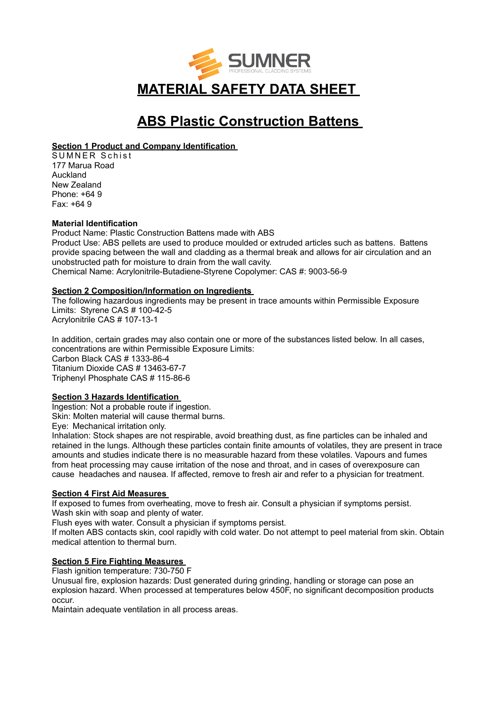

# **ABS Plastic Construction Battens**

## **Section 1 Product and Company Identification**

SUMNER Schist 177 Marua Road Auckland New Zealand Phone: +64 9 Fax: +64 9

## **Material Identification**

Product Name: Plastic Construction Battens made with ABS Product Use: ABS pellets are used to produce moulded or extruded articles such as battens. Battens provide spacing between the wall and cladding as a thermal break and allows for air circulation and an unobstructed path for moisture to drain from the wall cavity. Chemical Name: Acrylonitrile-Butadiene-Styrene Copolymer: CAS #: 9003-56-9

## **Section 2 Composition/Information on Ingredients**

The following hazardous ingredients may be present in trace amounts within Permissible Exposure Limits: Styrene CAS # 100-42-5 Acrylonitrile CAS # 107-13-1

In addition, certain grades may also contain one or more of the substances listed below. In all cases, concentrations are within Permissible Exposure Limits: Carbon Black CAS # 1333-86-4 Titanium Dioxide CAS # 13463-67-7 Triphenyl Phosphate CAS # 115-86-6

## **Section 3 Hazards Identification**

Ingestion: Not a probable route if ingestion.

Skin: Molten material will cause thermal burns.

Eye: Mechanical irritation only.

Inhalation: Stock shapes are not respirable, avoid breathing dust, as fine particles can be inhaled and retained in the lungs. Although these particles contain finite amounts of volatiles, they are present in trace amounts and studies indicate there is no measurable hazard from these volatiles. Vapours and fumes from heat processing may cause irritation of the nose and throat, and in cases of overexposure can cause headaches and nausea. If affected, remove to fresh air and refer to a physician for treatment.

## **Section 4 First Aid Measures**

If exposed to fumes from overheating, move to fresh air. Consult a physician if symptoms persist. Wash skin with soap and plenty of water.

Flush eyes with water. Consult a physician if symptoms persist.

If molten ABS contacts skin, cool rapidly with cold water. Do not attempt to peel material from skin. Obtain medical attention to thermal burn.

## **Section 5 Fire Fighting Measures**

Flash ignition temperature: 730-750 F

Unusual fire, explosion hazards: Dust generated during grinding, handling or storage can pose an explosion hazard. When processed at temperatures below 450F, no significant decomposition products occur.

Maintain adequate ventilation in all process areas.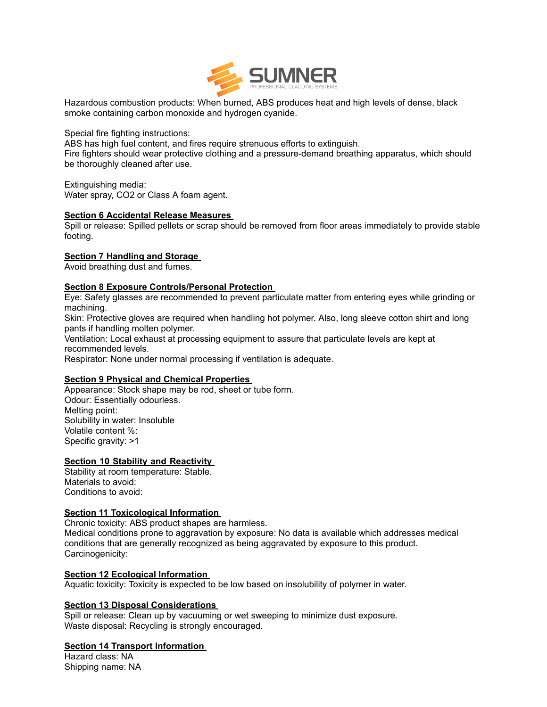

Hazardous combustion products: When burned, ABS produces heat and high levels of dense, black smoke containing carbon monoxide and hydrogen cyanide.

Special fire fighting instructions:

ABS has high fuel content, and fires require strenuous efforts to extinguish.

Fire fighters should wear protective clothing and a pressure-demand breathing apparatus, which should be thoroughly cleaned after use.

Extinguishing media: Water spray, CO2 or Class A foam agent.

#### **Section 6 Accidental Release Measures**

Spill or release: Spilled pellets or scrap should be removed from floor areas immediately to provide stable footing.

#### **Section 7 Handling and Storage**

Avoid breathing dust and fumes.

#### **Section 8 Exposure Controls/Personal Protection**

Eye: Safety glasses are recommended to prevent particulate matter from entering eyes while grinding or machining.

Skin: Protective gloves are required when handling hot polymer. Also, long sleeve cotton shirt and long pants if handling molten polymer.

Ventilation: Local exhaust at processing equipment to assure that particulate levels are kept at recommended levels.

Respirator: None under normal processing if ventilation is adequate.

#### **Section 9 Physical and Chemical Properties**

Appearance: Stock shape may be rod, sheet or tube form. Odour: Essentially odourless. Melting point: Solubility in water: Insoluble Volatile content %: Specific gravity: >1

## **Section 10 Stability and Reactivity**

Stability at room temperature: Stable. Materials to avoid: Conditions to avoid:

#### **Section 11 Toxicological Information**

Chronic toxicity: ABS product shapes are harmless. Medical conditions prone to aggravation by exposure: No data is available which addresses medical conditions that are generally recognized as being aggravated by exposure to this product. Carcinogenicity:

#### **Section 12 Ecological Information**

Aquatic toxicity: Toxicity is expected to be low based on insolubility of polymer in water.

#### **Section 13 Disposal Considerations**

Spill or release: Clean up by vacuuming or wet sweeping to minimize dust exposure. Waste disposal: Recycling is strongly encouraged.

#### **Section 14 Transport Information**

Hazard class: NA Shipping name: NA